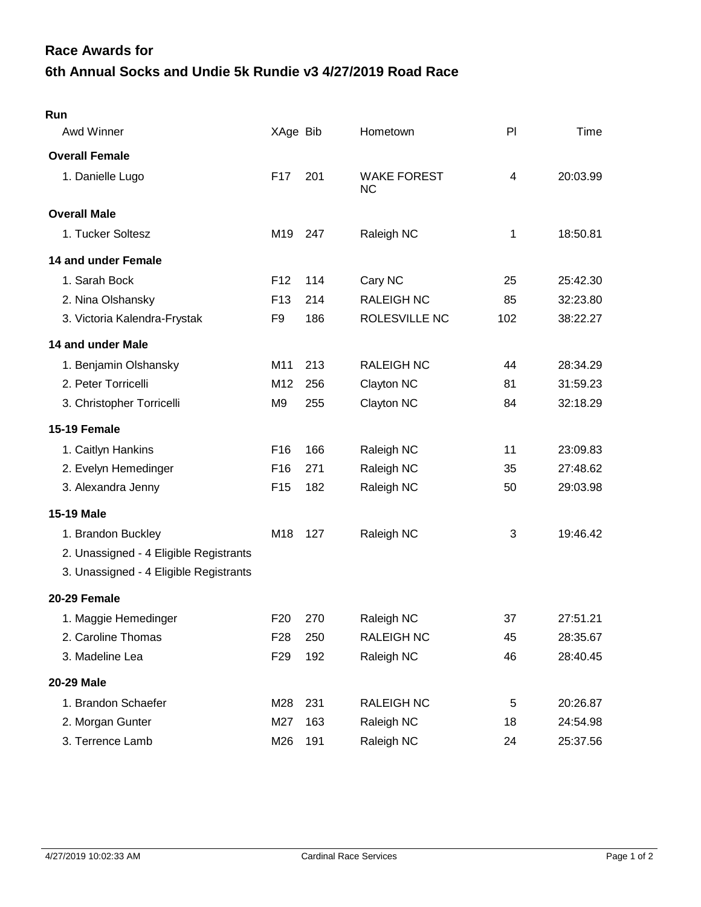## **6th Annual Socks and Undie 5k Rundie v3 4/27/2019 Road Race Race Awards for**

| Run                                    |                 |     |                                 |     |          |
|----------------------------------------|-----------------|-----|---------------------------------|-----|----------|
| <b>Awd Winner</b>                      | XAge Bib        |     | Hometown                        | PI  | Time     |
| <b>Overall Female</b>                  |                 |     |                                 |     |          |
| 1. Danielle Lugo                       | F <sub>17</sub> | 201 | <b>WAKE FOREST</b><br><b>NC</b> | 4   | 20:03.99 |
| <b>Overall Male</b>                    |                 |     |                                 |     |          |
| 1. Tucker Soltesz                      | M <sub>19</sub> | 247 | Raleigh NC                      | 1   | 18:50.81 |
| 14 and under Female                    |                 |     |                                 |     |          |
| 1. Sarah Bock                          | F <sub>12</sub> | 114 | Cary NC                         | 25  | 25:42.30 |
| 2. Nina Olshansky                      | F <sub>13</sub> | 214 | <b>RALEIGH NC</b>               | 85  | 32:23.80 |
| 3. Victoria Kalendra-Frystak           | F <sub>9</sub>  | 186 | ROLESVILLE NC                   | 102 | 38:22.27 |
| 14 and under Male                      |                 |     |                                 |     |          |
| 1. Benjamin Olshansky                  | M11             | 213 | <b>RALEIGH NC</b>               | 44  | 28:34.29 |
| 2. Peter Torricelli                    | M12             | 256 | Clayton NC                      | 81  | 31:59.23 |
| 3. Christopher Torricelli              | M <sub>9</sub>  | 255 | Clayton NC                      | 84  | 32:18.29 |
| 15-19 Female                           |                 |     |                                 |     |          |
| 1. Caitlyn Hankins                     | F16             | 166 | Raleigh NC                      | 11  | 23:09.83 |
| 2. Evelyn Hemedinger                   | F16             | 271 | Raleigh NC                      | 35  | 27:48.62 |
| 3. Alexandra Jenny                     | F <sub>15</sub> | 182 | Raleigh NC                      | 50  | 29:03.98 |
| <b>15-19 Male</b>                      |                 |     |                                 |     |          |
| 1. Brandon Buckley                     | M18             | 127 | Raleigh NC                      | 3   | 19:46.42 |
| 2. Unassigned - 4 Eligible Registrants |                 |     |                                 |     |          |
| 3. Unassigned - 4 Eligible Registrants |                 |     |                                 |     |          |
| 20-29 Female                           |                 |     |                                 |     |          |
| 1. Maggie Hemedinger                   | F <sub>20</sub> | 270 | Raleigh NC                      | 37  | 27:51.21 |
| 2. Caroline Thomas                     | F <sub>28</sub> | 250 | <b>RALEIGH NC</b>               | 45  | 28:35.67 |
| 3. Madeline Lea                        | F <sub>29</sub> | 192 | Raleigh NC                      | 46  | 28:40.45 |
| 20-29 Male                             |                 |     |                                 |     |          |
| 1. Brandon Schaefer                    | M28             | 231 | <b>RALEIGH NC</b>               | 5   | 20:26.87 |
| 2. Morgan Gunter                       | M27             | 163 | Raleigh NC                      | 18  | 24:54.98 |
| 3. Terrence Lamb                       | M26             | 191 | Raleigh NC                      | 24  | 25:37.56 |